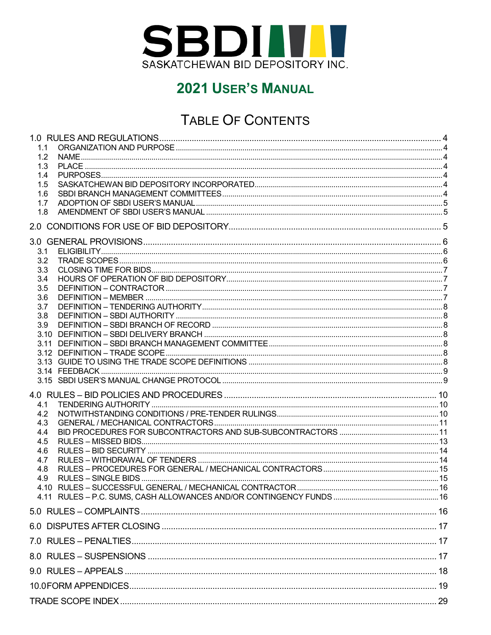

# TABLE OF CONTENTS

| 1.1<br>1.2<br>1.3<br>1.4<br>1.5<br>1.6<br>1.7<br>1.8                |  |
|---------------------------------------------------------------------|--|
|                                                                     |  |
| 3.1<br>3.2<br>3.3<br>3.4<br>3.5<br>3.6<br>3.7<br>3.8<br>3.9         |  |
| 4.1<br>4.2<br>4.3<br>4.4<br>4.5<br>4.6<br>4.7<br>4.8<br>4.9<br>4.10 |  |
|                                                                     |  |
|                                                                     |  |
|                                                                     |  |
|                                                                     |  |
|                                                                     |  |
|                                                                     |  |
|                                                                     |  |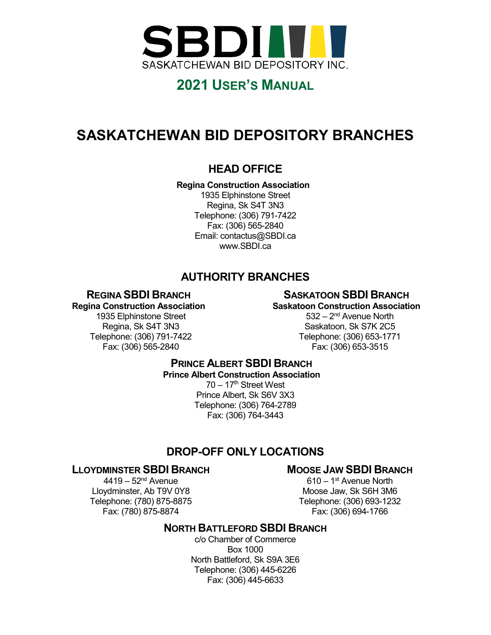

# **SASKATCHEWAN BID DEPOSITORY BRANCHES**

### **HEAD OFFICE**

### **Regina Construction Association**

1935 Elphinstone Street Regina, Sk S4T 3N3 Telephone: (306) 791-7422 Fax: (306) 565-2840 Email: contactus@SBDI.ca www.SBDI.ca

### **AUTHORITY BRANCHES**

### **REGINA SBDI BRANCH**

### **SASKATOON SBDI BRANCH**

### **Regina Construction Association**

1935 Elphinstone Street Regina, Sk S4T 3N3 Telephone: (306) 791-7422 Fax: (306) 565-2840

**Saskatoon Construction Association** 532 – 2nd Avenue North Saskatoon, Sk S7K 2C5 Telephone: (306) 653-1771 Fax: (306) 653-3515

### **PRINCE ALBERT SBDI BRANCH Prince Albert Construction Association**  $70 - 17$ <sup>th</sup> Street West Prince Albert, Sk S6V 3X3 Telephone: (306) 764-2789 Fax: (306) 764-3443

### **DROP-OFF ONLY LOCATIONS**

### **LLOYDMINSTER SBDI BRANCH**

### **MOOSE JAW SBDI BRANCH**

 $4419 - 52<sup>nd</sup>$  Avenue Lloydminster, Ab T9V 0Y8 Telephone: (780) 875-8875 Fax: (780) 875-8874

610 – 1st Avenue North Moose Jaw, Sk S6H 3M6 Telephone: (306) 693-1232 Fax: (306) 694-1766

### **NORTH BATTLEFORD SBDI BRANCH**

c/o Chamber of Commerce Box 1000 North Battleford, Sk S9A 3E6 Telephone: (306) 445-6226 Fax: (306) 445-6633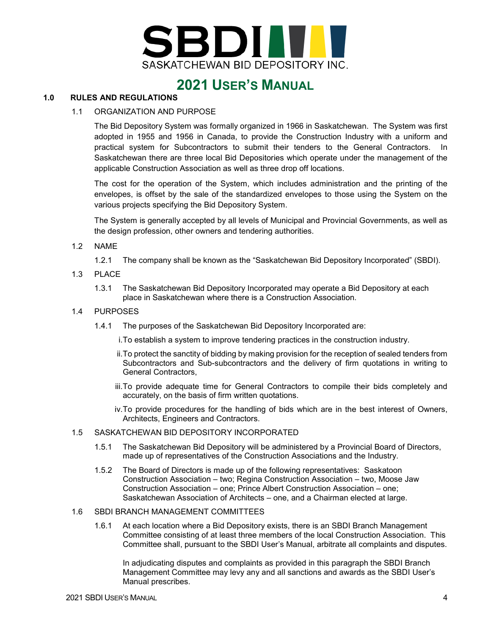

#### <span id="page-2-1"></span><span id="page-2-0"></span>**1.0 RULES AND REGULATIONS**

#### 1.1 ORGANIZATION AND PURPOSE

The Bid Depository System was formally organized in 1966 in Saskatchewan. The System was first adopted in 1955 and 1956 in Canada, to provide the Construction Industry with a uniform and practical system for Subcontractors to submit their tenders to the General Contractors. In Saskatchewan there are three local Bid Depositories which operate under the management of the applicable Construction Association as well as three drop off locations.

The cost for the operation of the System, which includes administration and the printing of the envelopes, is offset by the sale of the standardized envelopes to those using the System on the various projects specifying the Bid Depository System.

The System is generally accepted by all levels of Municipal and Provincial Governments, as well as the design profession, other owners and tendering authorities.

#### <span id="page-2-2"></span>1.2 NAME

- 1.2.1 The company shall be known as the "Saskatchewan Bid Depository Incorporated" (SBDI).
- <span id="page-2-3"></span>1.3 PLACE
	- 1.3.1 The Saskatchewan Bid Depository Incorporated may operate a Bid Depository at each place in Saskatchewan where there is a Construction Association.

#### <span id="page-2-4"></span>1.4 PURPOSES

- 1.4.1 The purposes of the Saskatchewan Bid Depository Incorporated are:
	- i.To establish a system to improve tendering practices in the construction industry.
	- ii.To protect the sanctity of bidding by making provision for the reception of sealed tenders from Subcontractors and Sub-subcontractors and the delivery of firm quotations in writing to General Contractors,
	- iii.To provide adequate time for General Contractors to compile their bids completely and accurately, on the basis of firm written quotations.
	- iv.To provide procedures for the handling of bids which are in the best interest of Owners, Architects, Engineers and Contractors.

#### <span id="page-2-5"></span>1.5 SASKATCHEWAN BID DEPOSITORY INCORPORATED

- 1.5.1 The Saskatchewan Bid Depository will be administered by a Provincial Board of Directors, made up of representatives of the Construction Associations and the Industry.
- 1.5.2 The Board of Directors is made up of the following representatives: Saskatoon Construction Association – two; Regina Construction Association – two, Moose Jaw Construction Association – one; Prince Albert Construction Association – one; Saskatchewan Association of Architects – one, and a Chairman elected at large.

#### <span id="page-2-6"></span>1.6 SBDI BRANCH MANAGEMENT COMMITTEES

1.6.1 At each location where a Bid Depository exists, there is an SBDI Branch Management Committee consisting of at least three members of the local Construction Association. This Committee shall, pursuant to the SBDI User's Manual, arbitrate all complaints and disputes.

In adjudicating disputes and complaints as provided in this paragraph the SBDI Branch Management Committee may levy any and all sanctions and awards as the SBDI User's Manual prescribes.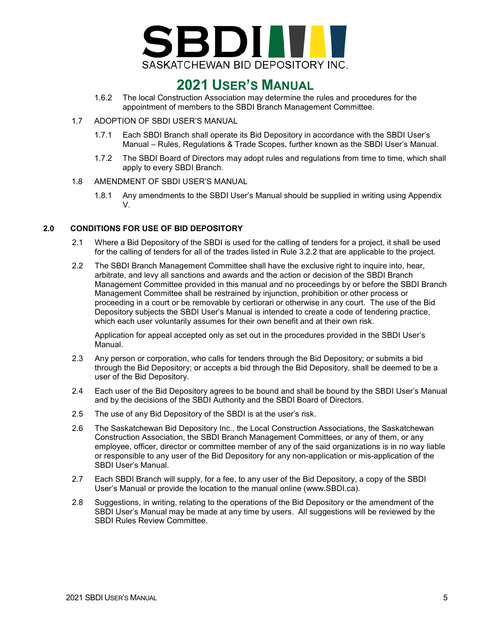

- 1.6.2 The local Construction Association may determine the rules and procedures for the appointment of members to the SBDI Branch Management Committee.
- <span id="page-3-0"></span>1.7 ADOPTION OF SBDI USER'S MANUAL
	- 1.7.1 Each SBDI Branch shall operate its Bid Depository in accordance with the SBDI User's Manual – Rules, Regulations & Trade Scopes, further known as the SBDI User's Manual.
	- 1.7.2 The SBDI Board of Directors may adopt rules and regulations from time to time, which shall apply to every SBDI Branch.
- <span id="page-3-1"></span>1.8 AMENDMENT OF SBDI USER'S MANUAL
	- 1.8.1 Any amendments to the SBDI User's Manual should be supplied in writing using Appendix V.

### <span id="page-3-2"></span>**2.0 CONDITIONS FOR USE OF BID DEPOSITORY**

- 2.1 Where a Bid Depository of the SBDI is used for the calling of tenders for a project, it shall be used for the calling of tenders for all of the trades listed in Rule 3.2.2 that are applicable to the project.
- 2.2 The SBDI Branch Management Committee shall have the exclusive right to inquire into, hear, arbitrate, and levy all sanctions and awards and the action or decision of the SBDI Branch Management Committee provided in this manual and no proceedings by or before the SBDI Branch Management Committee shall be restrained by injunction, prohibition or other process or proceeding in a court or be removable by certiorari or otherwise in any court. The use of the Bid Depository subjects the SBDI User's Manual is intended to create a code of tendering practice, which each user voluntarily assumes for their own benefit and at their own risk.

Application for appeal accepted only as set out in the procedures provided in the SBDI User's Manual.

- 2.3 Any person or corporation, who calls for tenders through the Bid Depository; or submits a bid through the Bid Depository; or accepts a bid through the Bid Depository, shall be deemed to be a user of the Bid Depository.
- 2.4 Each user of the Bid Depository agrees to be bound and shall be bound by the SBDI User's Manual and by the decisions of the SBDI Authority and the SBDI Board of Directors.
- 2.5 The use of any Bid Depository of the SBDI is at the user's risk.
- 2.6 The Saskatchewan Bid Depository Inc., the Local Construction Associations, the Saskatchewan Construction Association, the SBDI Branch Management Committees, or any of them, or any employee, officer, director or committee member of any of the said organizations is in no way liable or responsible to any user of the Bid Depository for any non-application or mis-application of the SBDI User's Manual.
- 2.7 Each SBDI Branch will supply, for a fee, to any user of the Bid Depository, a copy of the SBDI User's Manual or provide the location to the manual online (www.SBDI.ca).
- 2.8 Suggestions, in writing, relating to the operations of the Bid Depository or the amendment of the SBDI User's Manual may be made at any time by users. All suggestions will be reviewed by the SBDI Rules Review Committee.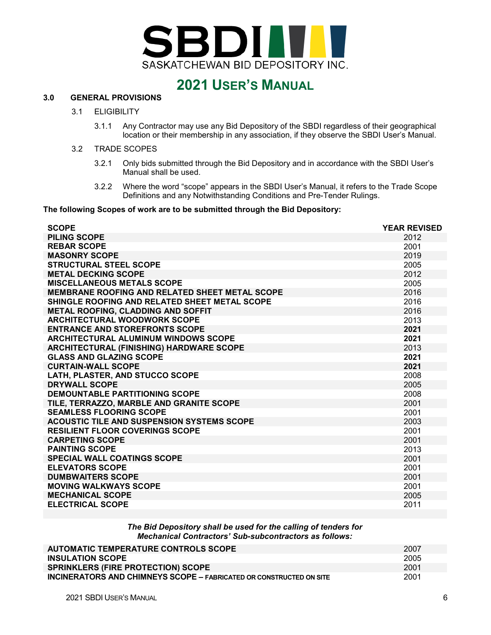

### <span id="page-4-1"></span><span id="page-4-0"></span>**3.0 GENERAL PROVISIONS**

#### 3.1 ELIGIBILITY

3.1.1 Any Contractor may use any Bid Depository of the SBDI regardless of their geographical location or their membership in any association, if they observe the SBDI User's Manual.

#### <span id="page-4-2"></span>3.2 TRADE SCOPES

- 3.2.1 Only bids submitted through the Bid Depository and in accordance with the SBDI User's Manual shall be used.
- 3.2.2 Where the word "scope" appears in the SBDI User's Manual, it refers to the Trade Scope Definitions and any Notwithstanding Conditions and Pre-Tender Rulings.

#### **The following Scopes of work are to be submitted through the Bid Depository:**

| <b>SCOPE</b>                                          | <b>YEAR REVISED</b> |
|-------------------------------------------------------|---------------------|
| <b>PILING SCOPE</b>                                   | 2012                |
| <b>REBAR SCOPE</b>                                    | 2001                |
| <b>MASONRY SCOPE</b>                                  | 2019                |
| <b>STRUCTURAL STEEL SCOPE</b>                         | 2005                |
| <b>METAL DECKING SCOPE</b>                            | 2012                |
| <b>MISCELLANEOUS METALS SCOPE</b>                     | 2005                |
| <b>MEMBRANE ROOFING AND RELATED SHEET METAL SCOPE</b> | 2016                |
| SHINGLE ROOFING AND RELATED SHEET METAL SCOPE         | 2016                |
| METAL ROOFING, CLADDING AND SOFFIT                    | 2016                |
| <b>ARCHITECTURAL WOODWORK SCOPE</b>                   | 2013                |
| <b>ENTRANCE AND STOREFRONTS SCOPE</b>                 | 2021                |
| <b>ARCHITECTURAL ALUMINUM WINDOWS SCOPE</b>           | 2021                |
| ARCHITECTURAL (FINISHING) HARDWARE SCOPE              | 2013                |
| <b>GLASS AND GLAZING SCOPE</b>                        | 2021                |
| <b>CURTAIN-WALL SCOPE</b>                             | 2021                |
| LATH, PLASTER, AND STUCCO SCOPE                       | 2008                |
| <b>DRYWALL SCOPE</b>                                  | 2005                |
| <b>DEMOUNTABLE PARTITIONING SCOPE</b>                 | 2008                |
| TILE, TERRAZZO, MARBLE AND GRANITE SCOPE              | 2001                |
| <b>SEAMLESS FLOORING SCOPE</b>                        | 2001                |
| <b>ACOUSTIC TILE AND SUSPENSION SYSTEMS SCOPE</b>     | 2003                |
| <b>RESILIENT FLOOR COVERINGS SCOPE</b>                | 2001                |
| <b>CARPETING SCOPE</b>                                | 2001                |
| <b>PAINTING SCOPE</b>                                 | 2013                |
| <b>SPECIAL WALL COATINGS SCOPE</b>                    | 2001                |
| <b>ELEVATORS SCOPE</b>                                | 2001                |
| <b>DUMBWAITERS SCOPE</b>                              | 2001                |
| <b>MOVING WALKWAYS SCOPE</b>                          | 2001                |
| <b>MECHANICAL SCOPE</b>                               | 2005                |
| <b>ELECTRICAL SCOPE</b>                               | 2011                |

#### *The Bid Depository shall be used for the calling of tenders for Mechanical Contractors' Sub-subcontractors as follows:*

| AUTOMATIC TEMPERATURE CONTROLS SCOPE                                       | 2007 |
|----------------------------------------------------------------------------|------|
| <b>INSULATION SCOPE</b>                                                    | 2005 |
| <b>SPRINKLERS (FIRE PROTECTION) SCOPE</b>                                  | 2001 |
| <b>INCINERATORS AND CHIMNEYS SCOPE - FABRICATED OR CONSTRUCTED ON SITE</b> | 2001 |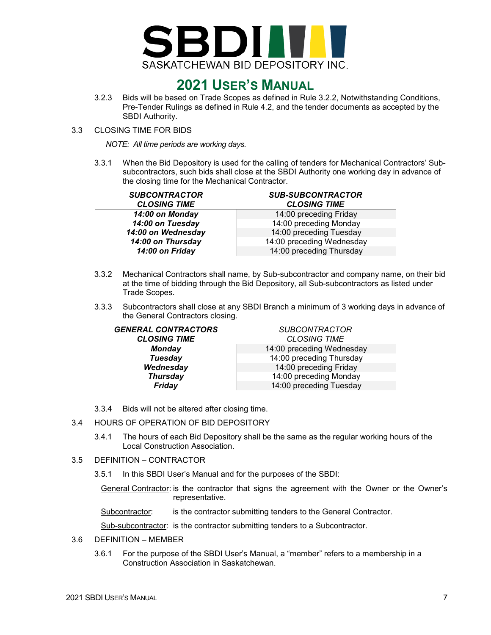

- 3.2.3 Bids will be based on Trade Scopes as defined in Rule 3.2.2, Notwithstanding Conditions, Pre-Tender Rulings as defined in Rule 4.2, and the tender documents as accepted by the SBDI Authority.
- <span id="page-5-0"></span>3.3 CLOSING TIME FOR BIDS

*NOTE: All time periods are working days.*

3.3.1 When the Bid Depository is used for the calling of tenders for Mechanical Contractors' Subsubcontractors, such bids shall close at the SBDI Authority one working day in advance of the closing time for the Mechanical Contractor.

| <b>SUBCONTRACTOR</b><br><b>CLOSING TIME</b> | <b>SUB-SUBCONTRACTOR</b><br><b>CLOSING TIME</b> |
|---------------------------------------------|-------------------------------------------------|
| 14:00 on Monday                             | 14:00 preceding Friday                          |
| 14:00 on Tuesday                            | 14:00 preceding Monday                          |
| 14:00 on Wednesday                          | 14:00 preceding Tuesday                         |
| 14:00 on Thursday                           | 14:00 preceding Wednesday                       |
| 14:00 on Friday                             | 14:00 preceding Thursday                        |

- 3.3.2 Mechanical Contractors shall name, by Sub-subcontractor and company name, on their bid at the time of bidding through the Bid Depository, all Sub-subcontractors as listed under Trade Scopes.
- 3.3.3 Subcontractors shall close at any SBDI Branch a minimum of 3 working days in advance of the General Contractors closing.

| <b>GENERAL CONTRACTORS</b> | <b>SUBCONTRACTOR</b>      |
|----------------------------|---------------------------|
| <b>CLOSING TIME</b>        | <b>CLOSING TIME</b>       |
| <b>Monday</b>              | 14:00 preceding Wednesday |
| <b>Tuesday</b>             | 14:00 preceding Thursday  |
| Wednesday                  | 14:00 preceding Friday    |
| <b>Thursday</b>            | 14:00 preceding Monday    |
| Friday                     | 14:00 preceding Tuesday   |

- 3.3.4 Bids will not be altered after closing time.
- <span id="page-5-1"></span>3.4 HOURS OF OPERATION OF BID DEPOSITORY
	- 3.4.1 The hours of each Bid Depository shall be the same as the regular working hours of the Local Construction Association.

### <span id="page-5-2"></span>3.5 DEFINITION – CONTRACTOR

3.5.1 In this SBDI User's Manual and for the purposes of the SBDI:

General Contractor: is the contractor that signs the agreement with the Owner or the Owner's representative.

Subcontractor: is the contractor submitting tenders to the General Contractor.

Sub-subcontractor: is the contractor submitting tenders to a Subcontractor.

- <span id="page-5-3"></span>3.6 DEFINITION – MEMBER
	- 3.6.1 For the purpose of the SBDI User's Manual, a "member" refers to a membership in a Construction Association in Saskatchewan.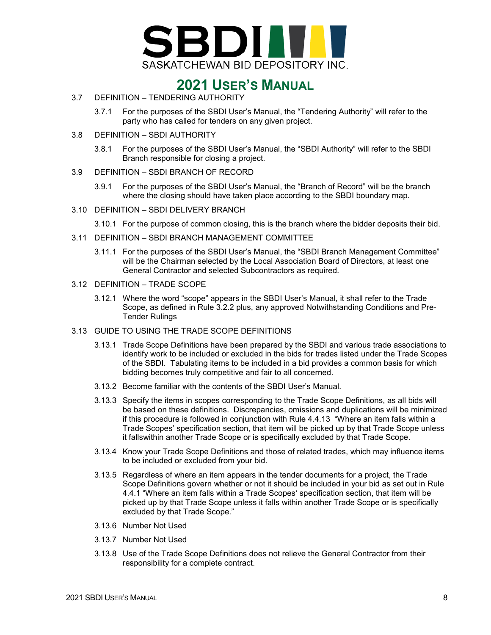

- <span id="page-6-0"></span>3.7 DEFINITION – TENDERING AUTHORITY
	- 3.7.1 For the purposes of the SBDI User's Manual, the "Tendering Authority" will refer to the party who has called for tenders on any given project.
- <span id="page-6-1"></span>3.8 DEFINITION – SBDI AUTHORITY
	- 3.8.1 For the purposes of the SBDI User's Manual, the "SBDI Authority" will refer to the SBDI Branch responsible for closing a project.
- <span id="page-6-2"></span>3.9 DEFINITION – SBDI BRANCH OF RECORD
	- 3.9.1 For the purposes of the SBDI User's Manual, the "Branch of Record" will be the branch where the closing should have taken place according to the SBDI boundary map.
- <span id="page-6-3"></span>3.10 DEFINITION – SBDI DELIVERY BRANCH
	- 3.10.1 For the purpose of common closing, this is the branch where the bidder deposits their bid.
- <span id="page-6-4"></span>3.11 DEFINITION – SBDI BRANCH MANAGEMENT COMMITTEE
	- 3.11.1 For the purposes of the SBDI User's Manual, the "SBDI Branch Management Committee" will be the Chairman selected by the Local Association Board of Directors, at least one General Contractor and selected Subcontractors as required.
- <span id="page-6-5"></span>3.12 DEFINITION – TRADE SCOPE
	- 3.12.1 Where the word "scope" appears in the SBDI User's Manual, it shall refer to the Trade Scope, as defined in Rule 3.2.2 plus, any approved Notwithstanding Conditions and Pre-Tender Rulings
- <span id="page-6-6"></span>3.13 GUIDE TO USING THE TRADE SCOPE DEFINITIONS
	- 3.13.1 Trade Scope Definitions have been prepared by the SBDI and various trade associations to identify work to be included or excluded in the bids for trades listed under the Trade Scopes of the SBDI. Tabulating items to be included in a bid provides a common basis for which bidding becomes truly competitive and fair to all concerned.
	- 3.13.2 Become familiar with the contents of the SBDI User's Manual.
	- 3.13.3 Specify the items in scopes corresponding to the Trade Scope Definitions, as all bids will be based on these definitions. Discrepancies, omissions and duplications will be minimized if this procedure is followed in conjunction with Rule 4.4.13 "Where an item falls within a Trade Scopes' specification section, that item will be picked up by that Trade Scope unless it fallswithin another Trade Scope or is specifically excluded by that Trade Scope.
	- 3.13.4 Know your Trade Scope Definitions and those of related trades, which may influence items to be included or excluded from your bid.
	- 3.13.5 Regardless of where an item appears in the tender documents for a project, the Trade Scope Definitions govern whether or not it should be included in your bid as set out in Rule 4.4.1 "Where an item falls within a Trade Scopes' specification section, that item will be picked up by that Trade Scope unless it falls within another Trade Scope or is specifically excluded by that Trade Scope."
	- 3.13.6 Number Not Used
	- 3.13.7 Number Not Used
	- 3.13.8 Use of the Trade Scope Definitions does not relieve the General Contractor from their responsibility for a complete contract.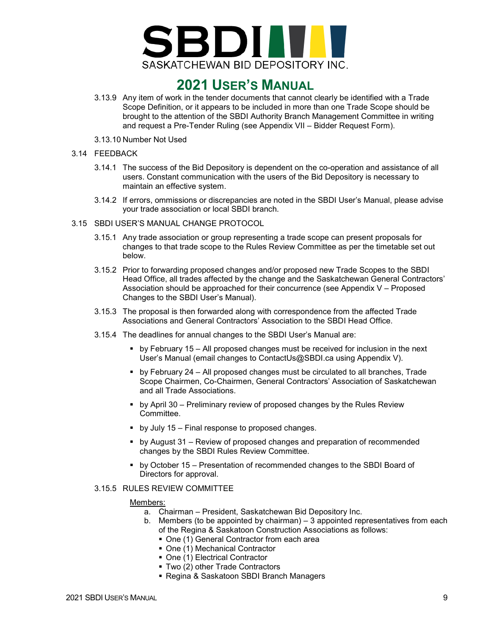

- 3.13.9 Any item of work in the tender documents that cannot clearly be identified with a Trade Scope Definition, or it appears to be included in more than one Trade Scope should be brought to the attention of the SBDI Authority Branch Management Committee in writing and request a Pre-Tender Ruling (see Appendix VII – Bidder Request Form).
- 3.13.10 Number Not Used
- <span id="page-7-0"></span>3.14 FEEDBACK
	- 3.14.1 The success of the Bid Depository is dependent on the co-operation and assistance of all users. Constant communication with the users of the Bid Depository is necessary to maintain an effective system.
	- 3.14.2 If errors, ommissions or discrepancies are noted in the SBDI User's Manual, please advise your trade association or local SBDI branch.
- <span id="page-7-1"></span>3.15 SBDI USER'S MANUAL CHANGE PROTOCOL
	- 3.15.1 Any trade association or group representing a trade scope can present proposals for changes to that trade scope to the Rules Review Committee as per the timetable set out below.
	- 3.15.2 Prior to forwarding proposed changes and/or proposed new Trade Scopes to the SBDI Head Office, all trades affected by the change and the Saskatchewan General Contractors' Association should be approached for their concurrence (see Appendix V – Proposed Changes to the SBDI User's Manual).
	- 3.15.3 The proposal is then forwarded along with correspondence from the affected Trade Associations and General Contractors' Association to the SBDI Head Office.
	- 3.15.4 The deadlines for annual changes to the SBDI User's Manual are:
		- by February 15 All proposed changes must be received for inclusion in the next User's Manual (email changes to ContactUs@SBDI.ca using Appendix V).
		- by February 24 All proposed changes must be circulated to all branches, Trade Scope Chairmen, Co-Chairmen, General Contractors' Association of Saskatchewan and all Trade Associations.
		- by April 30 Preliminary review of proposed changes by the Rules Review Committee.
		- **•** by July 15 Final response to proposed changes.
		- by August 31 Review of proposed changes and preparation of recommended changes by the SBDI Rules Review Committee.
		- by October 15 Presentation of recommended changes to the SBDI Board of Directors for approval.
	- 3.15.5 RULES REVIEW COMMITTEE

#### Members:

- a. Chairman President, Saskatchewan Bid Depository Inc.
- b. Members (to be appointed by chairman) 3 appointed representatives from each of the Regina & Saskatoon Construction Associations as follows:
	- One (1) General Contractor from each area
	- One (1) Mechanical Contractor
	- One (1) Electrical Contractor
	- Two (2) other Trade Contractors
	- Regina & Saskatoon SBDI Branch Managers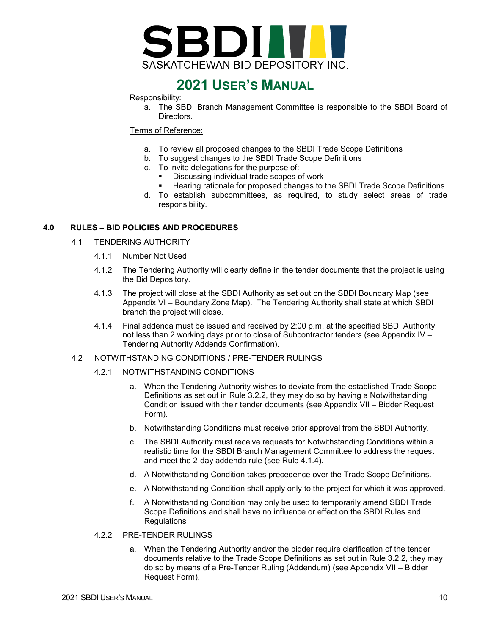

#### Responsibility:

a. The SBDI Branch Management Committee is responsible to the SBDI Board of Directors.

#### Terms of Reference:

- a. To review all proposed changes to the SBDI Trade Scope Definitions
- b. To suggest changes to the SBDI Trade Scope Definitions
- c. To invite delegations for the purpose of:
	- **Discussing individual trade scopes of work**
	- Hearing rationale for proposed changes to the SBDI Trade Scope Definitions
- d. To establish subcommittees, as required, to study select areas of trade responsibility.

#### <span id="page-8-1"></span><span id="page-8-0"></span>**4.0 RULES – BID POLICIES AND PROCEDURES**

#### 4.1 TENDERING AUTHORITY

- 4.1.1 Number Not Used
- 4.1.2 The Tendering Authority will clearly define in the tender documents that the project is using the Bid Depository.
- 4.1.3 The project will close at the SBDI Authority as set out on the SBDI Boundary Map (see Appendix VI – Boundary Zone Map). The Tendering Authority shall state at which SBDI branch the project will close.
- 4.1.4 Final addenda must be issued and received by 2:00 p.m. at the specified SBDI Authority not less than 2 working days prior to close of Subcontractor tenders (see Appendix IV – Tendering Authority Addenda Confirmation).

#### <span id="page-8-2"></span>4.2 NOTWITHSTANDING CONDITIONS / PRE-TENDER RULINGS

- 4.2.1 NOTWITHSTANDING CONDITIONS
	- a. When the Tendering Authority wishes to deviate from the established Trade Scope Definitions as set out in Rule 3.2.2, they may do so by having a Notwithstanding Condition issued with their tender documents (see Appendix VII – Bidder Request Form).
	- b. Notwithstanding Conditions must receive prior approval from the SBDI Authority.
	- c. The SBDI Authority must receive requests for Notwithstanding Conditions within a realistic time for the SBDI Branch Management Committee to address the request and meet the 2-day addenda rule (see Rule 4.1.4).
	- d. A Notwithstanding Condition takes precedence over the Trade Scope Definitions.
	- e. A Notwithstanding Condition shall apply only to the project for which it was approved.
	- f. A Notwithstanding Condition may only be used to temporarily amend SBDI Trade Scope Definitions and shall have no influence or effect on the SBDI Rules and **Regulations**

#### 4.2.2 PRE-TENDER RULINGS

a. When the Tendering Authority and/or the bidder require clarification of the tender documents relative to the Trade Scope Definitions as set out in Rule 3.2.2, they may do so by means of a Pre-Tender Ruling (Addendum) (see Appendix VII – Bidder Request Form).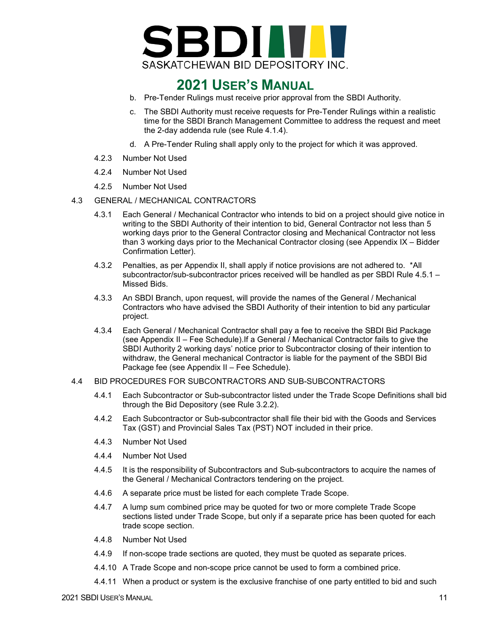

- b. Pre-Tender Rulings must receive prior approval from the SBDI Authority.
- c. The SBDI Authority must receive requests for Pre-Tender Rulings within a realistic time for the SBDI Branch Management Committee to address the request and meet the 2-day addenda rule (see Rule 4.1.4).
- d. A Pre-Tender Ruling shall apply only to the project for which it was approved.
- 4.2.3 Number Not Used
- 4.2.4 Number Not Used
- 4.2.5 Number Not Used
- <span id="page-9-0"></span>4.3 GENERAL / MECHANICAL CONTRACTORS
	- 4.3.1 Each General / Mechanical Contractor who intends to bid on a project should give notice in writing to the SBDI Authority of their intention to bid, General Contractor not less than 5 working days prior to the General Contractor closing and Mechanical Contractor not less than 3 working days prior to the Mechanical Contractor closing (see Appendix IX – Bidder Confirmation Letter).
	- 4.3.2 Penalties, as per Appendix II, shall apply if notice provisions are not adhered to. \*All subcontractor/sub-subcontractor prices received will be handled as per SBDI Rule 4.5.1 – Missed Bids.
	- 4.3.3 An SBDI Branch, upon request, will provide the names of the General / Mechanical Contractors who have advised the SBDI Authority of their intention to bid any particular project.
	- 4.3.4 Each General / Mechanical Contractor shall pay a fee to receive the SBDI Bid Package (see Appendix II – Fee Schedule).If a General / Mechanical Contractor fails to give the SBDI Authority 2 working days' notice prior to Subcontractor closing of their intention to withdraw, the General mechanical Contractor is liable for the payment of the SBDI Bid Package fee (see Appendix II – Fee Schedule).

#### <span id="page-9-1"></span>4.4 BID PROCEDURES FOR SUBCONTRACTORS AND SUB-SUBCONTRACTORS

- 4.4.1 Each Subcontractor or Sub-subcontractor listed under the Trade Scope Definitions shall bid through the Bid Depository (see Rule 3.2.2).
- 4.4.2 Each Subcontractor or Sub-subcontractor shall file their bid with the Goods and Services Tax (GST) and Provincial Sales Tax (PST) NOT included in their price.
- 4.4.3 Number Not Used
- 4.4.4 Number Not Used
- 4.4.5 It is the responsibility of Subcontractors and Sub-subcontractors to acquire the names of the General / Mechanical Contractors tendering on the project.
- 4.4.6 A separate price must be listed for each complete Trade Scope.
- 4.4.7 A lump sum combined price may be quoted for two or more complete Trade Scope sections listed under Trade Scope, but only if a separate price has been quoted for each trade scope section.
- 4.4.8 Number Not Used
- 4.4.9 If non-scope trade sections are quoted, they must be quoted as separate prices.
- 4.4.10 A Trade Scope and non-scope price cannot be used to form a combined price.
- 4.4.11 When a product or system is the exclusive franchise of one party entitled to bid and such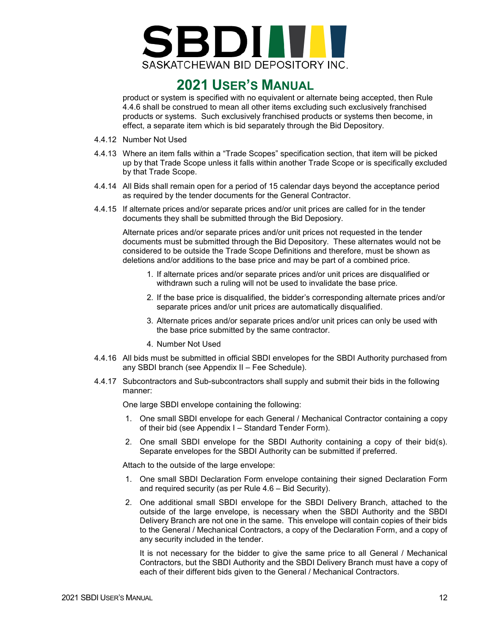

product or system is specified with no equivalent or alternate being accepted, then Rule 4.4.6 shall be construed to mean all other items excluding such exclusively franchised products or systems. Such exclusively franchised products or systems then become, in effect, a separate item which is bid separately through the Bid Depository.

- 4.4.12 Number Not Used
- 4.4.13 Where an item falls within a "Trade Scopes" specification section, that item will be picked up by that Trade Scope unless it falls within another Trade Scope or is specifically excluded by that Trade Scope.
- 4.4.14 All Bids shall remain open for a period of 15 calendar days beyond the acceptance period as required by the tender documents for the General Contractor.
- 4.4.15 If alternate prices and/or separate prices and/or unit prices are called for in the tender documents they shall be submitted through the Bid Deposiory.

Alternate prices and/or separate prices and/or unit prices not requested in the tender documents must be submitted through the Bid Depository. These alternates would not be considered to be outside the Trade Scope Definitions and therefore, must be shown as deletions and/or additions to the base price and may be part of a combined price.

- 1. If alternate prices and/or separate prices and/or unit prices are disqualified or withdrawn such a ruling will not be used to invalidate the base price*.*
- 2. If the base price is disqualified, the bidder's corresponding alternate prices and/or separate prices and/or unit price*s* are automatically disqualified.
- 3. Alternate prices and/or separate prices and/or unit prices can only be used with the base price submitted by the same contractor.
- 4. Number Not Used
- 4.4.16 All bids must be submitted in official SBDI envelopes for the SBDI Authority purchased from any SBDI branch (see Appendix II – Fee Schedule).
- 4.4.17 Subcontractors and Sub-subcontractors shall supply and submit their bids in the following manner:

One large SBDI envelope containing the following:

- 1. One small SBDI envelope for each General / Mechanical Contractor containing a copy of their bid (see Appendix I – Standard Tender Form).
- 2. One small SBDI envelope for the SBDI Authority containing a copy of their bid(s). Separate envelopes for the SBDI Authority can be submitted if preferred.

Attach to the outside of the large envelope:

- 1. One small SBDI Declaration Form envelope containing their signed Declaration Form and required security (as per Rule 4.6 – Bid Security).
- 2. One additional small SBDI envelope for the SBDI Delivery Branch, attached to the outside of the large envelope, is necessary when the SBDI Authority and the SBDI Delivery Branch are not one in the same. This envelope will contain copies of their bids to the General / Mechanical Contractors, a copy of the Declaration Form, and a copy of any security included in the tender.

It is not necessary for the bidder to give the same price to all General / Mechanical Contractors, but the SBDI Authority and the SBDI Delivery Branch must have a copy of each of their different bids given to the General / Mechanical Contractors.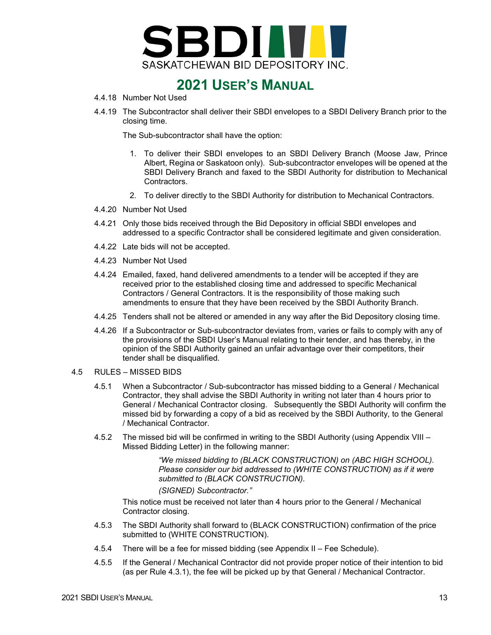

- 4.4.18 Number Not Used
- 4.4.19 The Subcontractor shall deliver their SBDI envelopes to a SBDI Delivery Branch prior to the closing time.

The Sub-subcontractor shall have the option:

- 1. To deliver their SBDI envelopes to an SBDI Delivery Branch (Moose Jaw, Prince Albert, Regina or Saskatoon only). Sub-subcontractor envelopes will be opened at the SBDI Delivery Branch and faxed to the SBDI Authority for distribution to Mechanical Contractors.
- 2. To deliver directly to the SBDI Authority for distribution to Mechanical Contractors.
- 4.4.20 Number Not Used
- 4.4.21 Only those bids received through the Bid Depository in official SBDI envelopes and addressed to a specific Contractor shall be considered legitimate and given consideration.
- 4.4.22 Late bids will not be accepted.
- 4.4.23 Number Not Used
- 4.4.24 Emailed, faxed, hand delivered amendments to a tender will be accepted if they are received prior to the established closing time and addressed to specific Mechanical Contractors / General Contractors. It is the responsibility of those making such amendments to ensure that they have been received by the SBDI Authority Branch.
- 4.4.25 Tenders shall not be altered or amended in any way after the Bid Depository closing time.
- 4.4.26 If a Subcontractor or Sub-subcontractor deviates from, varies or fails to comply with any of the provisions of the SBDI User's Manual relating to their tender, and has thereby, in the opinion of the SBDI Authority gained an unfair advantage over their competitors, their tender shall be disqualified.
- <span id="page-11-0"></span>4.5 RULES – MISSED BIDS
	- 4.5.1 When a Subcontractor / Sub-subcontractor has missed bidding to a General / Mechanical Contractor, they shall advise the SBDI Authority in writing not later than 4 hours prior to General / Mechanical Contractor closing. Subsequently the SBDI Authority will confirm the missed bid by forwarding a copy of a bid as received by the SBDI Authority, to the General / Mechanical Contractor.
	- 4.5.2 The missed bid will be confirmed in writing to the SBDI Authority (using Appendix VIII Missed Bidding Letter) in the following manner:

*"We missed bidding to (BLACK CONSTRUCTION) on (ABC HIGH SCHOOL). Please consider our bid addressed to (WHITE CONSTRUCTION) as if it were submitted to (BLACK CONSTRUCTION). (SIGNED) Subcontractor."*

This notice must be received not later than 4 hours prior to the General / Mechanical Contractor closing.

- 4.5.3 The SBDI Authority shall forward to (BLACK CONSTRUCTION) confirmation of the price submitted to (WHITE CONSTRUCTION).
- 4.5.4 There will be a fee for missed bidding (see Appendix II Fee Schedule).
- 4.5.5 If the General / Mechanical Contractor did not provide proper notice of their intention to bid (as per Rule 4.3.1), the fee will be picked up by that General / Mechanical Contractor.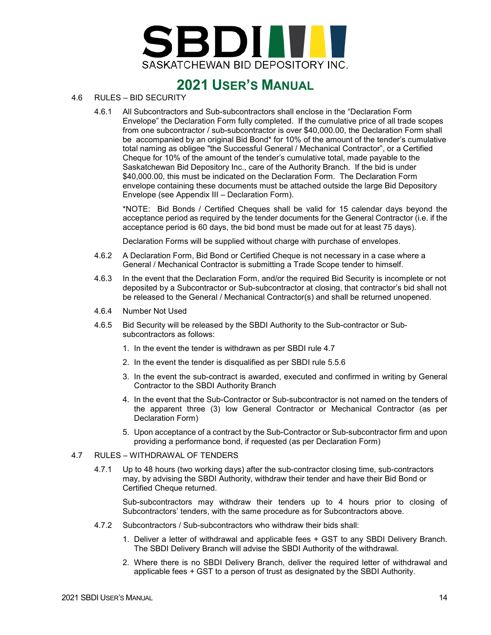

- <span id="page-12-0"></span>4.6 RULES – BID SECURITY
	- 4.6.1 All Subcontractors and Sub-subcontractors shall enclose in the "Declaration Form Envelope" the Declaration Form fully completed. If the cumulative price of all trade scopes from one subcontractor / sub-subcontractor is over \$40,000.00, the Declaration Form shall be accompanied by an original Bid Bond\* for 10% of the amount of the tender's cumulative total naming as obligee "the Successful General / Mechanical Contractor", or a Certified Cheque for 10% of the amount of the tender's cumulative total, made payable to the Saskatchewan Bid Depository Inc., care of the Authority Branch. If the bid is under \$40,000.00, this must be indicated on the Declaration Form. The Declaration Form envelope containing these documents must be attached outside the large Bid Depository Envelope (see Appendix III – Declaration Form).

\*NOTE: Bid Bonds / Certified Cheques shall be valid for 15 calendar days beyond the acceptance period as required by the tender documents for the General Contractor (i.e. if the acceptance period is 60 days, the bid bond must be made out for at least 75 days).

Declaration Forms will be supplied without charge with purchase of envelopes.

- 4.6.2 A Declaration Form, Bid Bond or Certified Cheque is not necessary in a case where a General / Mechanical Contractor is submitting a Trade Scope tender to himself.
- 4.6.3 In the event that the Declaration Form, and/or the required Bid Security is incomplete or not deposited by a Subcontractor or Sub-subcontractor at closing, that contractor's bid shall not be released to the General / Mechanical Contractor(s) and shall be returned unopened.
- 4.6.4 Number Not Used
- 4.6.5 Bid Security will be released by the SBDI Authority to the Sub-contractor or Subsubcontractors as follows:
	- 1. In the event the tender is withdrawn as per SBDI rule 4.7
	- 2. In the event the tender is disqualified as per SBDI rule 5.5.6
	- 3. In the event the sub-contract is awarded, executed and confirmed in writing by General Contractor to the SBDI Authority Branch
	- 4. In the event that the Sub-Contractor or Sub-subcontractor is not named on the tenders of the apparent three (3) low General Contractor or Mechanical Contractor (as per Declaration Form)
	- 5. Upon acceptance of a contract by the Sub-Contractor or Sub-subcontractor firm and upon providing a performance bond, if requested (as per Declaration Form)

#### <span id="page-12-1"></span>4.7 RULES – WITHDRAWAL OF TENDERS

4.7.1 Up to 48 hours (two working days) after the sub-contractor closing time, sub-contractors may, by advising the SBDI Authority, withdraw their tender and have their Bid Bond or Certified Cheque returned.

Sub-subcontractors may withdraw their tenders up to 4 hours prior to closing of Subcontractors' tenders, with the same procedure as for Subcontractors above.

- 4.7.2 Subcontractors / Sub-subcontractors who withdraw their bids shall:
	- 1. Deliver a letter of withdrawal and applicable fees + GST to any SBDI Delivery Branch. The SBDI Delivery Branch will advise the SBDI Authority of the withdrawal.
	- 2. Where there is no SBDI Delivery Branch, deliver the required letter of withdrawal and applicable fees *+* GST to a person of trust as designated by the SBDI Authority.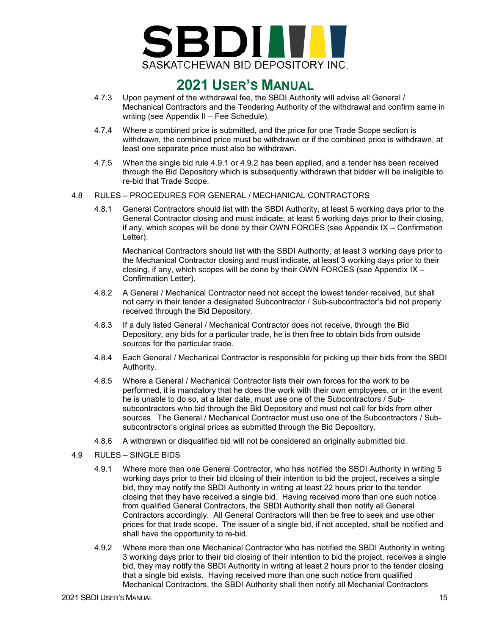

- 4.7.3 Upon payment of the withdrawal fee, the SBDI Authority will advise all General / Mechanical Contractors and the Tendering Authority of the withdrawal and confirm same in writing (see Appendix II – Fee Schedule).
- 4.7.4 Where a combined price is submitted, and the price for one Trade Scope section is withdrawn, the combined price must be withdrawn or if the combined price is withdrawn, at least one separate price must also be withdrawn.
- 4.7.5 When the single bid rule 4.9.1 or 4.9.2 has been applied, and a tender has been received through the Bid Depository which is subsequently withdrawn that bidder will be ineligible to re-bid that Trade Scope.
- <span id="page-13-0"></span>4.8 RULES – PROCEDURES FOR GENERAL / MECHANICAL CONTRACTORS
	- 4.8.1 General Contractors should list with the SBDI Authority, at least 5 working days prior to the General Contractor closing and must indicate, at least 5 working days prior to their closing, if any, which scopes will be done by their OWN FORCES (see Appendix IX – Confirmation Letter).

Mechanical Contractors should list with the SBDI Authority, at least 3 working days prior to the Mechanical Contractor closing and must indicate, at least 3 working days prior to their closing, if any, which scopes will be done by their OWN FORCES (see Appendix IX – Confirmation Letter).

- 4.8.2 A General / Mechanical Contractor need not accept the lowest tender received, but shall not carry in their tender a designated Subcontractor / Sub-subcontractor's bid not properly received through the Bid Depository.
- 4.8.3 If a duly listed General / Mechanical Contractor does not receive, through the Bid Depository, any bids for a particular trade, he is then free to obtain bids from outside sources for the particular trade.
- 4.8.4 Each General / Mechanical Contractor is responsible for picking up their bids from the SBDI Authority.
- 4.8.5 Where a General / Mechanical Contractor lists their own forces for the work to be performed, it is mandatory that he does the work with their own employees, or in the event he is unable to do so, at a later date, must use one of the Subcontractors / Subsubcontractors who bid through the Bid Depository and must not call for bids from other sources. The General / Mechanical Contractor must use one of the Subcontractors / Subsubcontractor's original prices as submitted through the Bid Depository.
- 4.8.6 A withdrawn or disqualified bid will not be considered an originally submitted bid.
- <span id="page-13-1"></span>4.9 RULES – SINGLE BIDS
	- 4.9.1 Where more than one General Contractor, who has notified the SBDI Authority in writing 5 working days prior to their bid closing of their intention to bid the project, receives a single bid, they may notify the SBDI Authority in writing at least 22 hours prior to the tender closing that they have received a single bid. Having received more than one such notice from qualified General Contractors, the SBDI Authority shall then notify all General Contractors accordingly. All General Contractors will then be free to seek and use other prices for that trade scope. The issuer of a single bid, if not accepted, shall be notified and shall have the opportunity to re-bid.
	- 4.9.2 Where more than one Mechanical Contractor who has notified the SBDI Authority in writing 3 working days prior to their bid closing of their intention to bid the project, receives a single bid, they may notify the SBDI Authority in writing at least 2 hours prior to the tender closing that a single bid exists. Having received more than one such notice from qualified Mechanical Contractors, the SBDI Authority shall then notify all Mechanial Contractors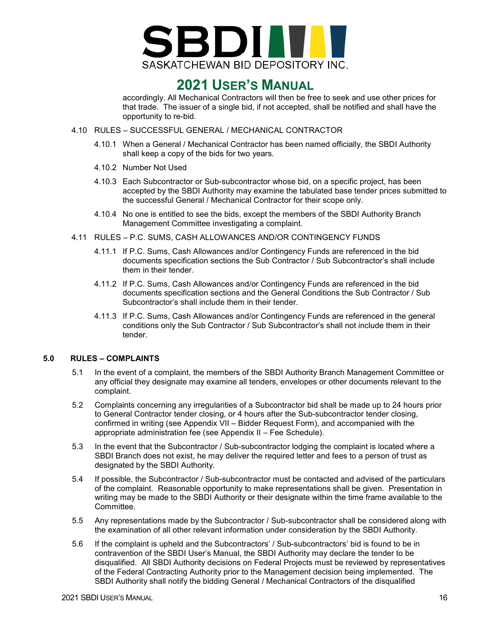

accordingly. All Mechanical Contractors will then be free to seek and use other prices for that trade. The issuer of a single bid, if not accepted, shall be notified and shall have the opportunity to re-bid.

- <span id="page-14-0"></span>4.10 RULES – SUCCESSFUL GENERAL / MECHANICAL CONTRACTOR
	- 4.10.1 When a General / Mechanical Contractor has been named officially, the SBDI Authority shall keep a copy of the bids for two years.
	- 4.10.2 Number Not Used
	- 4.10.3 Each Subcontractor or Sub-subcontractor whose bid, on a specific project, has been accepted by the SBDI Authority may examine the tabulated base tender prices submitted to the successful General / Mechanical Contractor for their scope only.
	- 4.10.4 No one is entitled to see the bids, except the members of the SBDI Authority Branch Management Committee investigating a complaint.
- <span id="page-14-1"></span>4.11 RULES – P.C. SUMS, CASH ALLOWANCES AND/OR CONTINGENCY FUNDS
	- 4.11.1 If P.C. Sums, Cash Allowances and/or Contingency Funds are referenced in the bid documents specification sections the Sub Contractor / Sub Subcontractor's shall include them in their tender.
	- 4.11.2 If P.C. Sums, Cash Allowances and/or Contingency Funds are referenced in the bid documents specification sections and the General Conditions the Sub Contractor / Sub Subcontractor's shall include them in their tender.
	- 4.11.3 If P.C. Sums, Cash Allowances and/or Contingency Funds are referenced in the general conditions only the Sub Contractor / Sub Subcontractor's shall not include them in their tender.

#### <span id="page-14-2"></span>**5.0 RULES – COMPLAINTS**

- 5.1 In the event of a complaint, the members of the SBDI Authority Branch Management Committee or any official they designate may examine all tenders, envelopes or other documents relevant to the complaint.
- 5.2 Complaints concerning any irregularities of a Subcontractor bid shall be made up to 24 hours prior to General Contractor tender closing, or 4 hours after the Sub-subcontractor tender closing, confirmed in writing (see Appendix VII – Bidder Request Form), and accompanied with the appropriate administration fee (see Appendix II – Fee Schedule).
- 5.3 In the event that the Subcontractor / Sub-subcontractor lodging the complaint is located where a SBDI Branch does not exist, he may deliver the required letter and fees to a person of trust as designated by the SBDI Authority.
- 5.4 If possible, the Subcontractor / Sub-subcontractor must be contacted and advised of the particulars of the complaint. Reasonable opportunity to make representations shall be given. Presentation in writing may be made to the SBDI Authority or their designate within the time frame available to the Committee.
- 5.5 Any representations made by the Subcontractor / Sub-subcontractor shall be considered along with the examination of all other relevant information under consideration by the SBDI Authority.
- 5.6 If the complaint is upheld and the Subcontractors' / Sub-subcontractors' bid is found to be in contravention of the SBDI User's Manual, the SBDI Authority may declare the tender to be disqualified. All SBDI Authority decisions on Federal Projects must be reviewed by representatives of the Federal Contracting Authority prior to the Management decision being implemented. The SBDI Authority shall notify the bidding General / Mechanical Contractors of the disqualified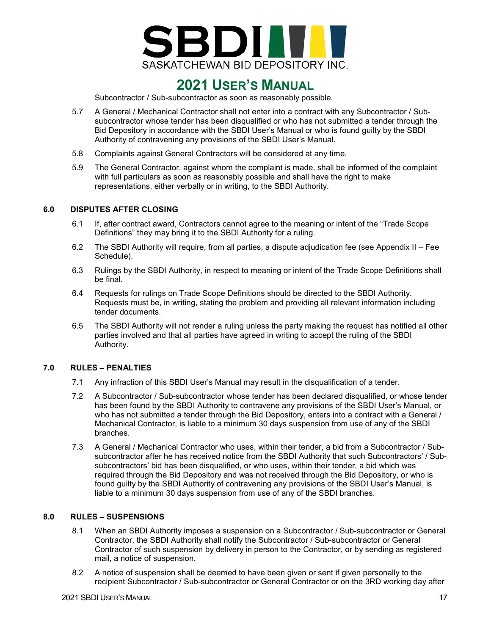

Subcontractor / Sub-subcontractor as soon as reasonably possible.

- 5.7 A General / Mechanical Contractor shall not enter into a contract with any Subcontractor / Subsubcontractor whose tender has been disqualified or who has not submitted a tender through the Bid Depository in accordance with the SBDI User's Manual or who is found guilty by the SBDI Authority of contravening any provisions of the SBDI User's Manual.
- 5.8 Complaints against General Contractors will be considered at any time.
- 5.9 The General Contractor, against whom the complaint is made, shall be informed of the complaint with full particulars as soon as reasonably possible and shall have the right to make representations, either verbally or in writing, to the SBDI Authority.

### <span id="page-15-0"></span>**6.0 DISPUTES AFTER CLOSING**

- 6.1 If, after contract award, Contractors cannot agree to the meaning or intent of the "Trade Scope Definitions" they may bring it to the SBDI Authority for a ruling.
- 6.2 The SBDI Authority will require, from all parties, a dispute adjudication fee (see Appendix II Fee Schedule).
- 6.3 Rulings by the SBDI Authority, in respect to meaning or intent of the Trade Scope Definitions shall be final.
- 6.4 Requests for rulings on Trade Scope Definitions should be directed to the SBDI Authority. Requests must be, in writing, stating the problem and providing all relevant information including tender documents.
- 6.5 The SBDI Authority will not render a ruling unless the party making the request has notified all other parties involved and that all parties have agreed in writing to accept the ruling of the SBDI Authority.

#### <span id="page-15-1"></span>**7.0 RULES – PENALTIES**

- 7.1 Any infraction of this SBDI User's Manual may result in the disqualification of a tender.
- 7.2 A Subcontractor / Sub-subcontractor whose tender has been declared disqualified, or whose tender has been found by the SBDI Authority to contravene any provisions of the SBDI User's Manual, or who has not submitted a tender through the Bid Depository, enters into a contract with a General / Mechanical Contractor, is liable to a minimum 30 days suspension from use of any of the SBDI branches.
- 7.3 A General / Mechanical Contractor who uses, within their tender, a bid from a Subcontractor / Subsubcontractor after he has received notice from the SBDI Authority that such Subcontractors' / Subsubcontractors' bid has been disqualified, or who uses, within their tender, a bid which was required through the Bid Depository and was not received through the Bid Depository, or who is found guilty by the SBDI Authority of contravening any provisions of the SBDI User's Manual, is liable to a minimum 30 days suspension from use of any of the SBDI branches.

### <span id="page-15-2"></span>**8.0 RULES – SUSPENSIONS**

- 8.1 When an SBDI Authority imposes a suspension on a Subcontractor / Sub-subcontractor or General Contractor, the SBDI Authority shall notify the Subcontractor / Sub-subcontractor or General Contractor of such suspension by delivery in person to the Contractor, or by sending as registered mail, a notice of suspension.
- 8.2 A notice of suspension shall be deemed to have been given or sent if given personally to the recipient Subcontractor / Sub-subcontractor or General Contractor or on the 3RD working day after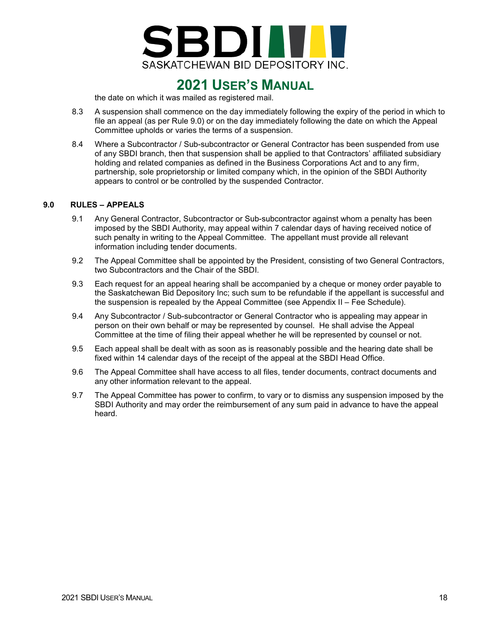

the date on which it was mailed as registered mail.

- 8.3 A suspension shall commence on the day immediately following the expiry of the period in which to file an appeal (as per Rule 9.0) or on the day immediately following the date on which the Appeal Committee upholds or varies the terms of a suspension.
- 8.4 Where a Subcontractor / Sub-subcontractor or General Contractor has been suspended from use of any SBDI branch, then that suspension shall be applied to that Contractors' affiliated subsidiary holding and related companies as defined in the Business Corporations Act and to any firm, partnership, sole proprietorship or limited company which, in the opinion of the SBDI Authority appears to control or be controlled by the suspended Contractor.

#### <span id="page-16-0"></span>**9.0 RULES – APPEALS**

- 9.1 Any General Contractor, Subcontractor or Sub-subcontractor against whom a penalty has been imposed by the SBDI Authority, may appeal within 7 calendar days of having received notice of such penalty in writing to the Appeal Committee. The appellant must provide all relevant information including tender documents.
- 9.2 The Appeal Committee shall be appointed by the President, consisting of two General Contractors, two Subcontractors and the Chair of the SBDI.
- 9.3 Each request for an appeal hearing shall be accompanied by a cheque or money order payable to the Saskatchewan Bid Depository Inc; such sum to be refundable if the appellant is successful and the suspension is repealed by the Appeal Committee (see Appendix II – Fee Schedule).
- 9.4 Any Subcontractor / Sub-subcontractor or General Contractor who is appealing may appear in person on their own behalf or may be represented by counsel. He shall advise the Appeal Committee at the time of filing their appeal whether he will be represented by counsel or not.
- 9.5 Each appeal shall be dealt with as soon as is reasonably possible and the hearing date shall be fixed within 14 calendar days of the receipt of the appeal at the SBDI Head Office.
- 9.6 The Appeal Committee shall have access to all files, tender documents, contract documents and any other information relevant to the appeal.
- 9.7 The Appeal Committee has power to confirm, to vary or to dismiss any suspension imposed by the SBDI Authority and may order the reimbursement of any sum paid in advance to have the appeal heard.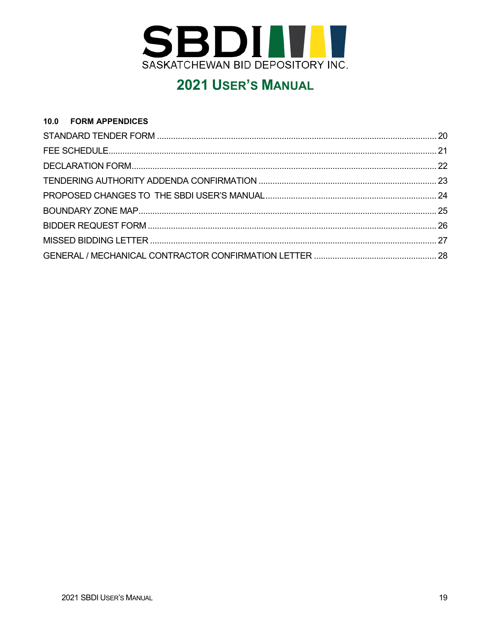

### <span id="page-17-0"></span> $10.0$ **FORM APPENDICES** STANDARD TENDER FORM 2002 2003 2004 12:30 12:30 12:30 12:30 12:30 12:30 12:30 12:30 12:30 12:30 12:30 12:30 12:30 12:30 12:30 12:30 12:30 12:30 12:30 12:30 12:30 12:30 12:30 12:30 12:30 12:30 12:30 12:30 12:30 12:30 12:30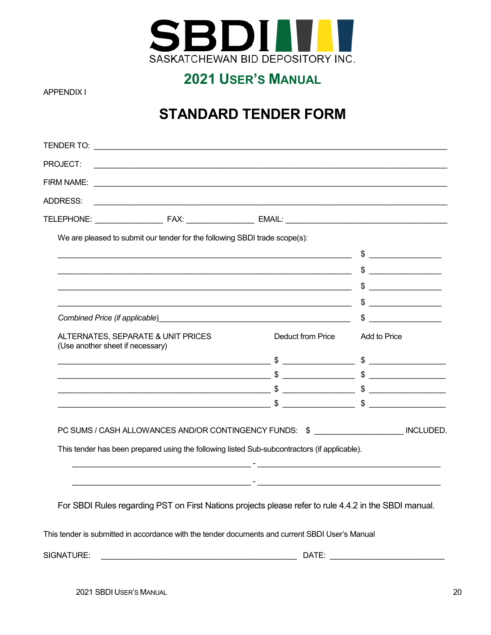

### <span id="page-18-0"></span>**APPENDIX I**

# **STANDARD TENDER FORM**

| PROJECT:                         |                                                                                                       |                                                                                                                                                                                                                               |               |
|----------------------------------|-------------------------------------------------------------------------------------------------------|-------------------------------------------------------------------------------------------------------------------------------------------------------------------------------------------------------------------------------|---------------|
|                                  |                                                                                                       |                                                                                                                                                                                                                               |               |
| ADDRESS:                         |                                                                                                       |                                                                                                                                                                                                                               |               |
|                                  |                                                                                                       |                                                                                                                                                                                                                               |               |
|                                  | We are pleased to submit our tender for the following SBDI trade scope(s):                            |                                                                                                                                                                                                                               |               |
|                                  |                                                                                                       |                                                                                                                                                                                                                               | $\frac{1}{2}$ |
|                                  |                                                                                                       |                                                                                                                                                                                                                               | $\frac{1}{2}$ |
|                                  |                                                                                                       |                                                                                                                                                                                                                               | .             |
|                                  |                                                                                                       |                                                                                                                                                                                                                               |               |
|                                  |                                                                                                       |                                                                                                                                                                                                                               |               |
| (Use another sheet if necessary) | ALTERNATES, SEPARATE & UNIT PRICES                                                                    | Deduct from Price                                                                                                                                                                                                             | Add to Price  |
|                                  |                                                                                                       |                                                                                                                                                                                                                               |               |
|                                  |                                                                                                       |                                                                                                                                                                                                                               |               |
|                                  |                                                                                                       |                                                                                                                                                                                                                               |               |
|                                  | $\sim$ \$ $\sim$                                                                                      |                                                                                                                                                                                                                               |               |
|                                  | PC SUMS / CASH ALLOWANCES AND/OR CONTINGENCY FUNDS: \$ _____________________ INCLUDED.                |                                                                                                                                                                                                                               |               |
|                                  | This tender has been prepared using the following listed Sub-subcontractors (if applicable).          |                                                                                                                                                                                                                               |               |
|                                  | <u> 1989 - Johann John Harry, mars eta industrial (h. 1908).</u>                                      | the control of the control of the control of the control of the control of the control of the control of the control of the control of the control of the control of the control of the control of the control of the control |               |
|                                  | For SBDI Rules regarding PST on First Nations projects please refer to rule 4.4.2 in the SBDI manual. |                                                                                                                                                                                                                               |               |
|                                  | This tender is submitted in accordance with the tender documents and current SBDI User's Manual       |                                                                                                                                                                                                                               |               |
| SIGNATURE:                       |                                                                                                       | DATE:                                                                                                                                                                                                                         |               |

2021 SBDI USER'S MANUAL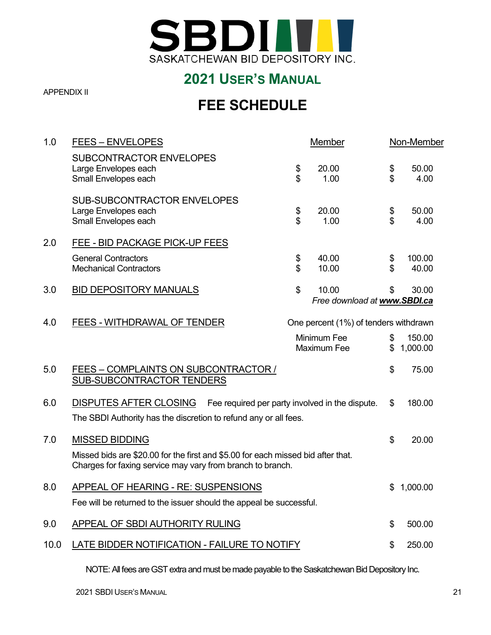

<span id="page-19-0"></span>APPENDIX II

# **FEE SCHEDULE**

| <b>FEES - ENVELOPES</b>                                                            |          | Member                                                                                                                                                                         |                                                                                                                                                                                              | Non-Member                                                                                                               |
|------------------------------------------------------------------------------------|----------|--------------------------------------------------------------------------------------------------------------------------------------------------------------------------------|----------------------------------------------------------------------------------------------------------------------------------------------------------------------------------------------|--------------------------------------------------------------------------------------------------------------------------|
| <b>SUBCONTRACTOR ENVELOPES</b><br>Large Envelopes each<br>Small Envelopes each     | \$<br>\$ | 20.00<br>1.00                                                                                                                                                                  | \$<br>\$                                                                                                                                                                                     | 50.00<br>4.00                                                                                                            |
| <b>SUB-SUBCONTRACTOR ENVELOPES</b><br>Large Envelopes each<br>Small Envelopes each | \$<br>\$ | 20.00<br>1.00                                                                                                                                                                  | \$<br>\$                                                                                                                                                                                     | 50.00<br>4.00                                                                                                            |
| FEE - BID PACKAGE PICK-UP FEES                                                     |          |                                                                                                                                                                                |                                                                                                                                                                                              |                                                                                                                          |
| <b>General Contractors</b><br><b>Mechanical Contractors</b>                        | \$<br>\$ | 40.00<br>10.00                                                                                                                                                                 | \$<br>\$                                                                                                                                                                                     | 100.00<br>40.00                                                                                                          |
| <b>BID DEPOSITORY MANUALS</b>                                                      | \$       | 10.00                                                                                                                                                                          | \$                                                                                                                                                                                           | 30.00                                                                                                                    |
| FEES - WITHDRAWAL OF TENDER                                                        |          |                                                                                                                                                                                |                                                                                                                                                                                              |                                                                                                                          |
|                                                                                    |          |                                                                                                                                                                                | \$<br>\$                                                                                                                                                                                     | 150.00<br>1,000.00                                                                                                       |
| FEES - COMPLAINTS ON SUBCONTRACTOR /<br>SUB-SUBCONTRACTOR TENDERS                  |          |                                                                                                                                                                                | \$                                                                                                                                                                                           | 75.00                                                                                                                    |
| <b>DISPUTES AFTER CLOSING</b>                                                      |          |                                                                                                                                                                                | \$                                                                                                                                                                                           | 180.00                                                                                                                   |
| <b>MISSED BIDDING</b>                                                              |          |                                                                                                                                                                                | \$                                                                                                                                                                                           | 20.00                                                                                                                    |
| APPEAL OF HEARING - RE: SUSPENSIONS                                                |          |                                                                                                                                                                                | \$                                                                                                                                                                                           | 1,000.00                                                                                                                 |
| <b>APPEAL OF SBDI AUTHORITY RULING</b>                                             |          |                                                                                                                                                                                | \$                                                                                                                                                                                           | 500.00                                                                                                                   |
|                                                                                    |          |                                                                                                                                                                                | \$                                                                                                                                                                                           | 250.00                                                                                                                   |
|                                                                                    |          | The SBDI Authority has the discretion to refund any or all fees.<br>Charges for faxing service may vary from branch to branch.<br>LATE BIDDER NOTIFICATION - FAILURE TO NOTIFY | Minimum Fee<br><b>Maximum Fee</b><br>Missed bids are \$20.00 for the first and \$5.00 for each missed bid after that.<br>Fee will be returned to the issuer should the appeal be successful. | Free download at www.SBDI.ca<br>One percent (1%) of tenders withdrawn<br>Fee required per party involved in the dispute. |

NOTE: All fees are GST extra and must be made payable to the Saskatchewan Bid Depository Inc.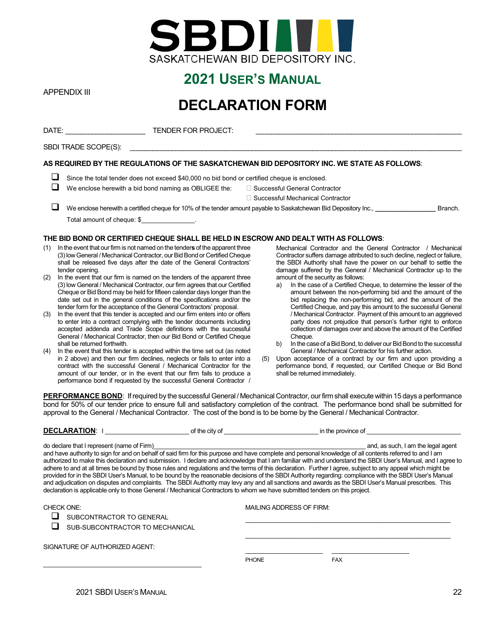

<span id="page-20-0"></span>APPENDIX III

## **DECLARATION FORM**

|     | DATE: and the state of the state of the state of the state of the state of the state of the state of the state of the state of the state of the state of the state of the state of the state of the state of the state of the<br><b>TENDER FOR PROJECT:</b> |                                                                                                                             |            |
|-----|-------------------------------------------------------------------------------------------------------------------------------------------------------------------------------------------------------------------------------------------------------------|-----------------------------------------------------------------------------------------------------------------------------|------------|
|     | SBDI TRADE SCOPE(S):                                                                                                                                                                                                                                        |                                                                                                                             |            |
|     |                                                                                                                                                                                                                                                             | AS REQUIRED BY THE REGULATIONS OF THE SASKATCHEWAN BID DEPOSITORY INC. WE STATE AS FOLLOWS:                                 |            |
|     | Since the total tender does not exceed \$40,000 no bid bond or certified cheque is enclosed.                                                                                                                                                                |                                                                                                                             |            |
|     | We enclose herewith a bid bond naming as OBLIGEE the: $\Box$ Successful General Contractor                                                                                                                                                                  |                                                                                                                             |            |
|     |                                                                                                                                                                                                                                                             | □ Successful Mechanical Contractor                                                                                          |            |
|     |                                                                                                                                                                                                                                                             | We enclose herewith a certified cheque for 10% of the tender amount payable to Saskatchewan Bid Depository Inc.,            | Branch.    |
|     | Total amount of cheque: \$                                                                                                                                                                                                                                  |                                                                                                                             |            |
|     | THE BID BOND OR CERTIFIED CHEQUE SHALL BE HELD IN ESCROW AND DEALT WITH AS FOLLOWS:                                                                                                                                                                         |                                                                                                                             |            |
| (1) | In the event that our firm is not named on the tenders of the apparent three<br>(3) Jow Ceneral / Mechanical Contractor, our Bid Bond or Certified Cheque                                                                                                   | Mechanical Contractor and the General Contractor<br>Contractor suffers damage attributed to such decline neglect or failure | Mechanical |

- (3) low General / Mechanical G shall be released five days after the date of the General Contractors' tender opening.
- (2) In the event that our firm is named on the tenders of the apparent three (3) low General / Mechanical Contractor, our firm agrees that our Certified Cheque or Bid Bond may be held for fifteen calendar days longer than the date set out in the general conditions of the specifications and/or the tender form for the acceptance of the General Contractors' proposal.
- (3) In the event that this tender is accepted and our firm enters into or offers to enter into a contract complying with the tender documents including accepted addenda and Trade Scope definitions with the successful General / Mechanical Contractor, then our Bid Bond or Certified Cheque shall be returned forthwith.
- (4) In the event that this tender is accepted within the time set out (as noted in 2 above) and then our firm declines, neglects or fails to enter into a contract with the successful General / Mechanical Contractor for the amount of our tender, or in the event that our firm fails to produce a performance bond if requested by the successful General Contractor /
- uffers damage attributed to such decline, negle the SBDI Authority shall have the power on our behalf to settle the damage suffered by the General / Mechanical Contractor up to the amount of the security as follows:
- a) In the case of a Certified Cheque, to determine the lesser of the amount between the non-performing bid and the amount of the bid replacing the non-performing bid, and the amount of the Certified Cheque, and pay this amount to the successful General / Mechanical Contractor. Payment of this amount to an aggrieved party does not prejudice that person's further right to enforce collection of damages over and above the amount of the Certified Cheque.
- b) In the case of a Bid Bond, to deliver our Bid Bond to the successful General / Mechanical Contractor for his further action.
- (5) Upon acceptance of a contract by our firm and upon providing a performance bond, if requested, our Certified Cheque or Bid Bond shall be returned immediately.

PERFORMANCE BOND: If required by the successful General / Mechanical Contractor, our firm shall execute within 15 days a performance bond for 50% of our tender price to ensure full and satisfactory completion of the contract. The performance bond shall be submitted for approval to the General / Mechanical Contractor. The cost of the bond is to be borne by the General / Mechanical Contractor.

| <b>DECLARATION:</b> |                                                                   | of the city of | in the province of                                                                                                                                                                                                                                                                                                                                                                                                                                                                                                                                                                                                                                                                                                                                                                                                                                                                                                                                                             |
|---------------------|-------------------------------------------------------------------|----------------|--------------------------------------------------------------------------------------------------------------------------------------------------------------------------------------------------------------------------------------------------------------------------------------------------------------------------------------------------------------------------------------------------------------------------------------------------------------------------------------------------------------------------------------------------------------------------------------------------------------------------------------------------------------------------------------------------------------------------------------------------------------------------------------------------------------------------------------------------------------------------------------------------------------------------------------------------------------------------------|
|                     | do declare that I represent (name of Firm)                        |                | and, as such, I am the legal agent<br>and have authority to sign for and on behalf of said firm for this purpose and have complete and personal knowledge of all contents referred to and I am<br>authorized to make this declaration and submission. I declare and acknowledge that I am familiar with and understand the SBDI User's Manual, and I agree to<br>adhere to and at all times be bound by those rules and regulations and the terms of this declaration. Further I agree, subject to any appeal which might be<br>provided for in the SBDI User's Manual, to be bound by the reasonable decisions of the SBDI Authority regarding: compliance with the SBDI User's Manual<br>and adjudication on disputes and complaints. The SBDI Authority may levy any and all sanctions and awards as the SBDI User's Manual prescribes. This<br>declaration is applicable only to those General / Mechanical Contractors to whom we have submitted tenders on this project. |
| <b>CHECK ONE:</b>   | SUBCONTRACTOR TO GENERAL                                          |                | <b>MAILING ADDRESS OF FIRM:</b>                                                                                                                                                                                                                                                                                                                                                                                                                                                                                                                                                                                                                                                                                                                                                                                                                                                                                                                                                |
|                     | SUB-SUBCONTRACTOR TO MECHANICAL<br>SIGNATURE OF AUTHORIZED AGENT: |                |                                                                                                                                                                                                                                                                                                                                                                                                                                                                                                                                                                                                                                                                                                                                                                                                                                                                                                                                                                                |
|                     |                                                                   |                |                                                                                                                                                                                                                                                                                                                                                                                                                                                                                                                                                                                                                                                                                                                                                                                                                                                                                                                                                                                |

PHONE FAX

\_\_\_\_\_\_\_\_\_\_\_\_\_\_\_\_\_\_\_\_\_\_\_ \_\_\_\_\_\_\_\_\_\_\_\_\_\_\_\_\_\_\_\_\_\_\_

\_\_\_\_\_\_\_\_\_\_\_\_\_\_\_\_\_\_\_\_\_\_\_\_\_\_\_\_\_\_\_\_\_\_\_\_\_\_\_\_\_\_\_\_\_\_\_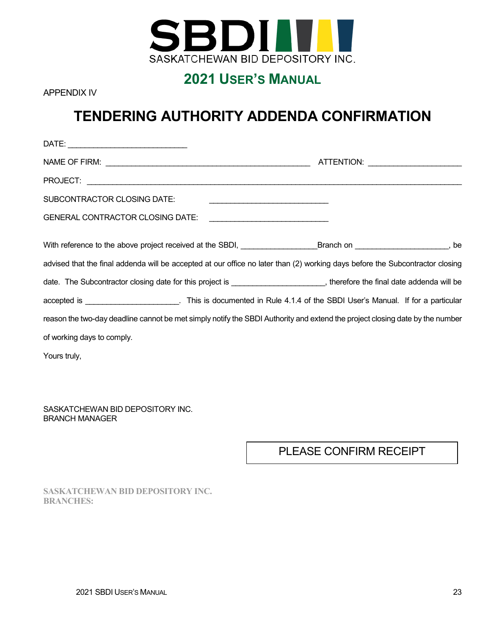

<span id="page-21-0"></span>APPENDIX IV

# **TENDERING AUTHORITY ADDENDA CONFIRMATION**

| SUBCONTRACTOR CLOSING DATE:                                                                                                   | <u> 1989 - Johann Barbara, martin amerikan basal dan berasal dan berasal dalam basal dalam basal dalam basal dala</u> |  |
|-------------------------------------------------------------------------------------------------------------------------------|-----------------------------------------------------------------------------------------------------------------------|--|
| <b>GENERAL CONTRACTOR CLOSING DATE:</b>                                                                                       |                                                                                                                       |  |
| With reference to the above project received at the SBDI, _________________Branch on ____________________, be                 |                                                                                                                       |  |
| advised that the final addenda will be accepted at our office no later than (2) working days before the Subcontractor closing |                                                                                                                       |  |
| date. The Subcontractor closing date for this project is ______________________, therefore the final date addenda will be     |                                                                                                                       |  |
| accepted is ______________________. This is documented in Rule 4.1.4 of the SBDI User's Manual. If for a particular           |                                                                                                                       |  |
| reason the two-day deadline cannot be met simply notify the SBDI Authority and extend the project closing date by the number  |                                                                                                                       |  |
| of working days to comply.                                                                                                    |                                                                                                                       |  |
| Yours truly,                                                                                                                  |                                                                                                                       |  |

SASKATCHEWAN BID DEPOSITORY INC. BRANCH MANAGER

PLEASE CONFIRM RECEIPT

**SASKATCHEWAN BID DEPOSITORY INC. BRANCHES:**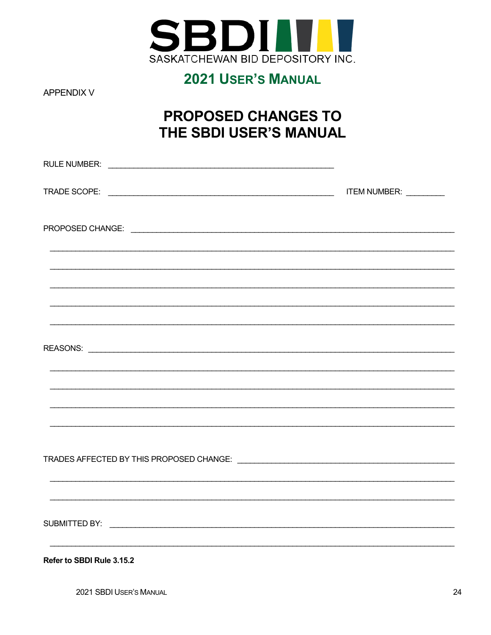

<span id="page-22-0"></span>**APPENDIX V** 

# **PROPOSED CHANGES TO** THE SBDI USER'S MANUAL

| ,我们也不能在这里的时候,我们也不能在这里的时候,我们也不能会在这里的时候,我们也不能会在这里的时候,我们也不能会在这里的时候,我们也不能会在这里的时候,我们也不<br>Refer to SBDI Rule 3.15.2 |  |
|----------------------------------------------------------------------------------------------------------------|--|

2021 SBDI USER'S MANUAL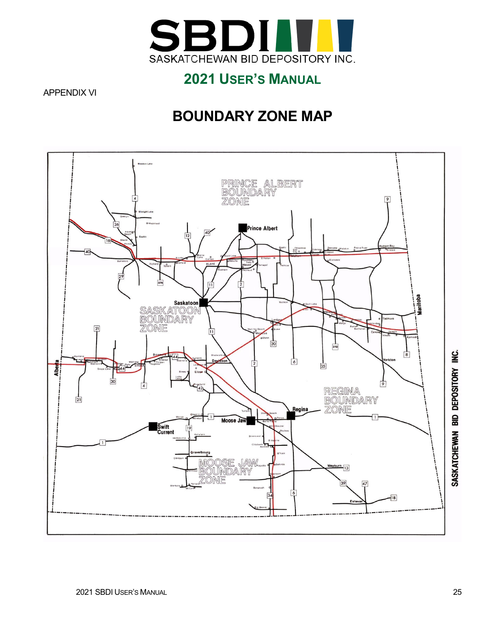

### <span id="page-23-0"></span>APPENDIX VI

# **BOUNDARY ZONE MAP**

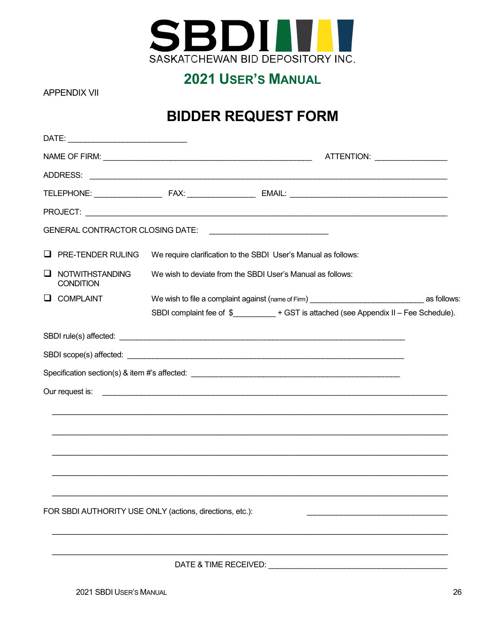

### <span id="page-24-0"></span>**APPENDIX VII**

# **BIDDER REQUEST FORM**

|    | DATE:                                                    |                       |                                                                                       |  |
|----|----------------------------------------------------------|-----------------------|---------------------------------------------------------------------------------------|--|
|    |                                                          |                       | ATTENTION: ___________________                                                        |  |
|    |                                                          |                       |                                                                                       |  |
|    |                                                          |                       |                                                                                       |  |
|    |                                                          |                       |                                                                                       |  |
|    |                                                          |                       |                                                                                       |  |
| ⊔  | PRE-TENDER RULING                                        |                       | We require clarification to the SBDI User's Manual as follows:                        |  |
| ⊔  | <b>NOTWITHSTANDING</b><br><b>CONDITION</b>               |                       | We wish to deviate from the SBDI User's Manual as follows:                            |  |
| ⊔. | <b>COMPLAINT</b>                                         |                       | We wish to file a complaint against (name of Firm) example and the state of Solows:   |  |
|    |                                                          |                       | SBDI complaint fee of \$__________+ GST is attached (see Appendix II - Fee Schedule). |  |
|    |                                                          |                       |                                                                                       |  |
|    |                                                          |                       |                                                                                       |  |
|    |                                                          |                       |                                                                                       |  |
|    |                                                          |                       |                                                                                       |  |
|    |                                                          |                       |                                                                                       |  |
|    |                                                          |                       |                                                                                       |  |
|    |                                                          |                       |                                                                                       |  |
|    |                                                          |                       | ,我们就会在这里的人,我们就会在这里的人,我们就会在这里的人,我们就会在这里的人,我们就会在这里的人,我们就会在这里的人,我们就会在这里的人,我们就会在这里的人      |  |
|    |                                                          |                       |                                                                                       |  |
|    |                                                          |                       |                                                                                       |  |
|    | FOR SBDI AUTHORITY USE ONLY (actions, directions, etc.): |                       |                                                                                       |  |
|    |                                                          |                       |                                                                                       |  |
|    |                                                          |                       |                                                                                       |  |
|    |                                                          | DATE & TIME RECEIVED: |                                                                                       |  |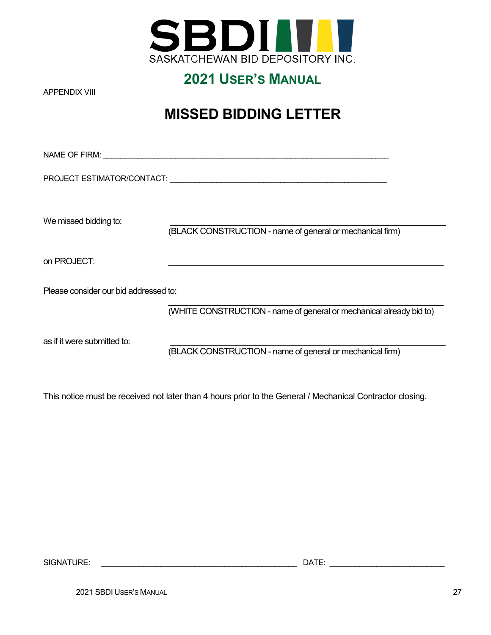

<span id="page-25-0"></span>APPENDIX VIII

# **MISSED BIDDING LETTER**

| PROJECT ESTIMATOR/CONTACT:            |                                                                     |  |
|---------------------------------------|---------------------------------------------------------------------|--|
| We missed bidding to:                 | (BLACK CONSTRUCTION - name of general or mechanical firm)           |  |
| on PROJECT:                           |                                                                     |  |
| Please consider our bid addressed to: |                                                                     |  |
|                                       | (WHITE CONSTRUCTION - name of general or mechanical already bid to) |  |
| as if it were submitted to:           | (BLACK CONSTRUCTION - name of general or mechanical firm)           |  |

This notice must be received not later than 4 hours prior to the General / Mechanical Contractor closing.

SIGNATURE: \_\_\_\_\_\_\_\_\_\_\_\_\_\_\_\_\_\_\_\_\_\_\_\_\_\_\_\_\_\_\_\_\_\_\_\_\_\_\_\_\_\_\_\_\_\_ DATE: \_\_\_\_\_\_\_\_\_\_\_\_\_\_\_\_\_\_\_\_\_\_\_\_\_\_\_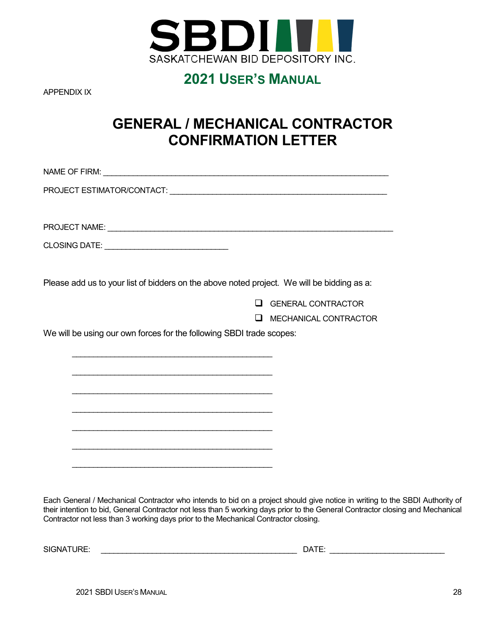

<span id="page-26-0"></span>APPENDIX IX

# **GENERAL / MECHANICAL CONTRACTOR CONFIRMATION LETTER**

| Please add us to your list of bidders on the above noted project. We will be bidding as a: |                           |
|--------------------------------------------------------------------------------------------|---------------------------|
| $\mathsf{L}$                                                                               | <b>GENERAL CONTRACTOR</b> |
| H                                                                                          | MECHANICAL CONTRACTOR     |
| We will be using our own forces for the following SBDI trade scopes:                       |                           |
|                                                                                            |                           |
|                                                                                            |                           |
|                                                                                            |                           |
|                                                                                            |                           |
|                                                                                            |                           |
|                                                                                            |                           |
|                                                                                            |                           |
|                                                                                            |                           |
|                                                                                            |                           |

Each General / Mechanical Contractor who intends to bid on a project should give notice in writing to the SBDI Authority of their intention to bid, General Contractor not less than 5 working days prior to the General Contractor closing and Mechanical Contractor not less than 3 working days prior to the Mechanical Contractor closing.

SIGNATURE: \_\_\_\_\_\_\_\_\_\_\_\_\_\_\_\_\_\_\_\_\_\_\_\_\_\_\_\_\_\_\_\_\_\_\_\_\_\_\_\_\_\_\_\_\_\_ DATE: \_\_\_\_\_\_\_\_\_\_\_\_\_\_\_\_\_\_\_\_\_\_\_\_\_\_\_

2021 SBDI USER'S MANUAL 28